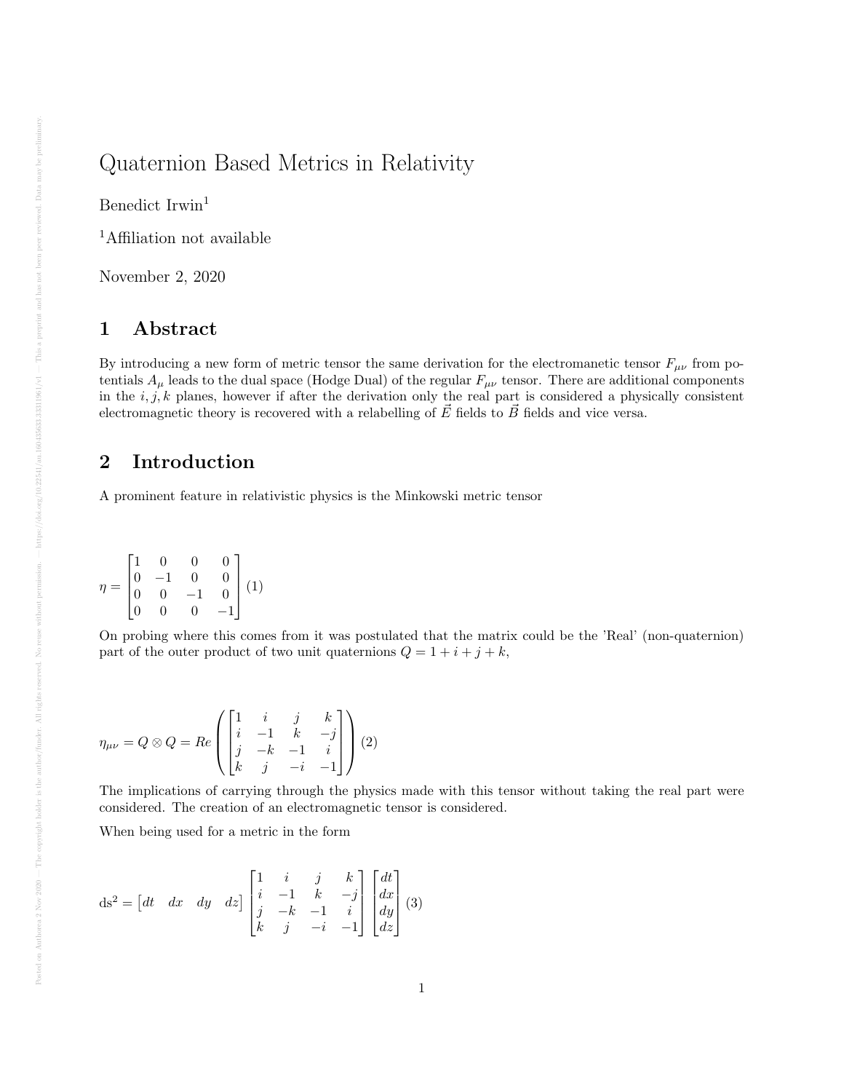## Quaternion Based Metrics in Relativity

Benedict Irwin<sup>1</sup>

<sup>1</sup>Affiliation not available

November 2, 2020

#### 1 Abstract

By introducing a new form of metric tensor the same derivation for the electromanetic tensor  $F_{\mu\nu}$  from potentials  $A_\mu$  leads to the dual space (Hodge Dual) of the regular  $F_{\mu\nu}$  tensor. There are additional components in the  $i, j, k$  planes, however if after the derivation only the real part is considered a physically consistent electromagnetic theory is recovered with a relabelling of  $\vec{E}$  fields to  $\vec{B}$  fields and vice versa.

### 2 Introduction

A prominent feature in relativistic physics is the Minkowski metric tensor

$$
\eta = \begin{bmatrix} 1 & 0 & 0 & 0 \\ 0 & -1 & 0 & 0 \\ 0 & 0 & -1 & 0 \\ 0 & 0 & 0 & -1 \end{bmatrix} (1)
$$

On probing where this comes from it was postulated that the matrix could be the 'Real' (non-quaternion) part of the outer product of two unit quaternions  $Q = 1 + i + j + k$ ,

$$
\eta_{\mu\nu}=Q\otimes Q=Re\left(\begin{bmatrix}1&i&j&k\\i&-1&k&-j\\j&-k&-1&i\\k&j&-i&-1\end{bmatrix}\right)(2)
$$

The implications of carrying through the physics made with this tensor without taking the real part were considered. The creation of an electromagnetic tensor is considered.

When being used for a metric in the form

$$
ds^{2} = \begin{bmatrix} dt & dx & dy & dz \end{bmatrix} \begin{bmatrix} 1 & i & j & k \\ i & -1 & k & -j \\ j & -k & -1 & i \\ k & j & -i & -1 \end{bmatrix} \begin{bmatrix} dt \\ dx \\ dy \\ dz \end{bmatrix} (3)
$$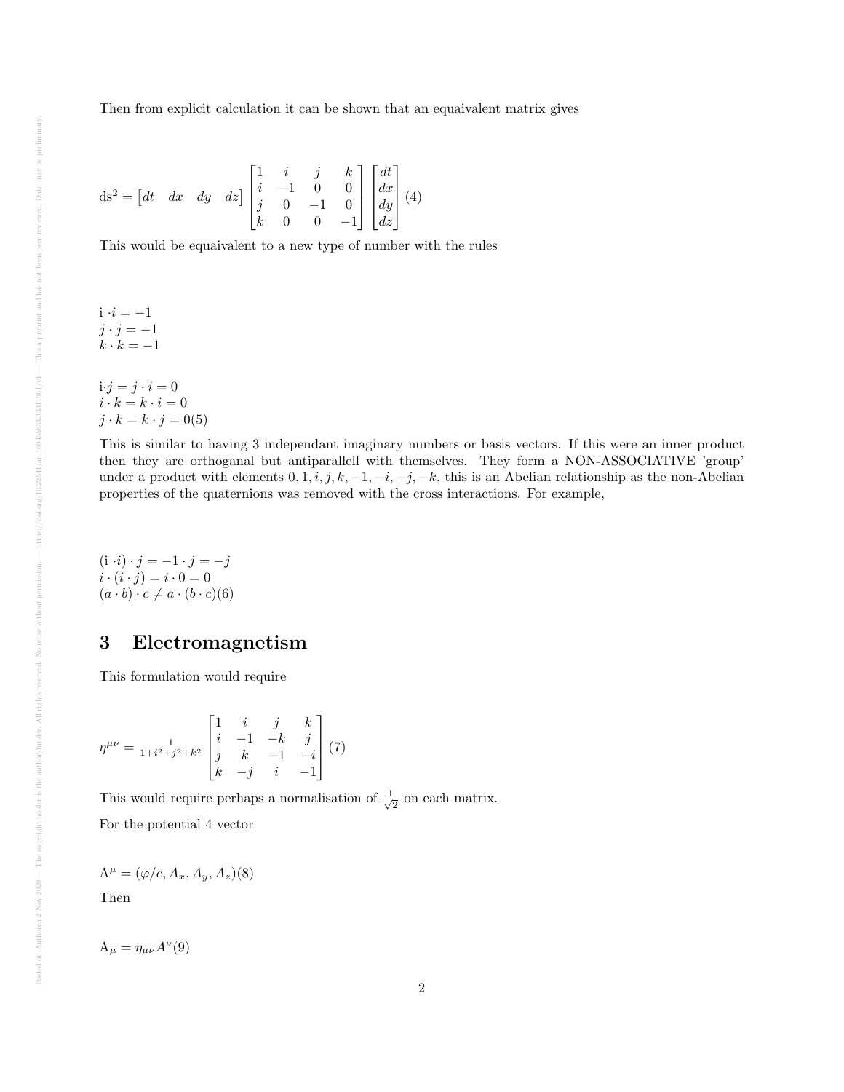$$
ds^{2} = \begin{bmatrix} dt & dx & dy & dz \end{bmatrix} \begin{bmatrix} 1 & i & j & k \\ i & -1 & 0 & 0 \\ j & 0 & -1 & 0 \\ k & 0 & 0 & -1 \end{bmatrix} \begin{bmatrix} dt \\ dx \\ dy \\ dz \end{bmatrix} (4)
$$

This would be equaivalent to a new type of number with the rules

$$
i \cdot i = -1
$$
  

$$
j \cdot j = -1
$$
  

$$
k \cdot k = -1
$$

 $i \cdot j = j \cdot i = 0$  $i\cdot k=k\cdot i=0$  $j \cdot k = k \cdot j = 0(5)$ 

This is similar to having 3 independant imaginary numbers or basis vectors. If this were an inner product then they are orthoganal but antiparallell with themselves. They form a NON-ASSOCIATIVE 'group' under a product with elements  $0, 1, i, j, k, -1, -i, -j, -k$ , this is an Abelian relationship as the non-Abelian properties of the quaternions was removed with the cross interactions. For example,

 $(i \cdot i) \cdot j = -1 \cdot j = -j$  $i \cdot (i \cdot j) = i \cdot 0 = 0$  $(a \cdot b) \cdot c \neq a \cdot (b \cdot c)(6)$ 

#### 3 Electromagnetism

This formulation would require

$$
\eta^{\mu\nu} = \frac{1}{1+i^2+j^2+k^2} \begin{bmatrix} 1 & i & j & k \\ i & -1 & -k & j \\ j & k & -1 & -i \\ k & -j & i & -1 \end{bmatrix} (7)
$$

This would require perhaps a normalisation of  $\frac{1}{\sqrt{2}}$  $\frac{1}{2}$  on each matrix.

For the potential 4 vector

$$
\mathbf{A}^{\mu} = (\varphi/c, A_x, A_y, A_z)(8)
$$

Then

$$
A_{\mu} = \eta_{\mu\nu} A^{\nu}(9)
$$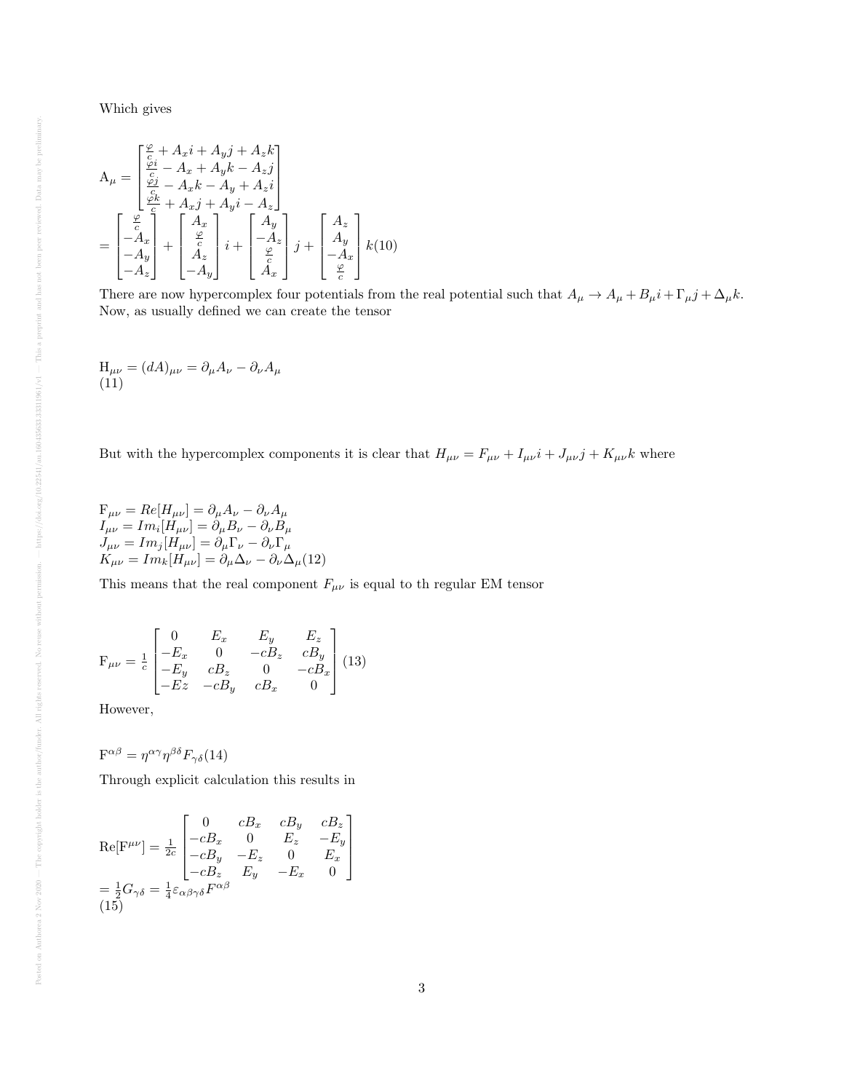Which gives

$$
A_{\mu} = \begin{bmatrix} \frac{\varphi}{c} + A_x i + A_y j + A_z k \\ \frac{\varphi i}{c} - A_x + A_y k - A_z j \\ \frac{\varphi j}{c} - A_x k - A_y + A_z i \\ \frac{\varphi k}{c} + A_x j + A_y i - A_z \end{bmatrix}
$$
  
= 
$$
\begin{bmatrix} \frac{\varphi}{c} \\ -A_x \\ -A_y \\ -A_z \end{bmatrix} + \begin{bmatrix} A_x \\ \frac{\varphi}{c} \\ A_z \\ -A_y \end{bmatrix} i + \begin{bmatrix} A_y \\ -A_z \\ \frac{\varphi}{c} \\ A_x \end{bmatrix} j + \begin{bmatrix} A_z \\ A_y \\ -A_x \\ \frac{\varphi}{c} \end{bmatrix} k(10)
$$

There are now hypercomplex four potentials from the real potential such that  $A_{\mu} \to A_{\mu} + B_{\mu}i + \Gamma_{\mu}j + \Delta_{\mu}k$ . Now, as usually defined we can create the tensor

$$
H_{\mu\nu} = (dA)_{\mu\nu} = \partial_{\mu}A_{\nu} - \partial_{\nu}A_{\mu}
$$
  
(11)

But with the hypercomplex components it is clear that  $H_{\mu\nu} = F_{\mu\nu} + I_{\mu\nu}i + J_{\mu\nu}j + K_{\mu\nu}k$  where

 $\mathrm{F}_{\mu\nu}=Re[H_{\mu\nu}]=\partial_{\mu}A_{\nu}-\partial_{\nu}A_{\mu}$  $I_{\mu\nu}=Im_i[H_{\mu\nu}]=\partial_\mu B_\nu-\partial_\nu B_\mu$  $J_{\mu\nu}=Im_j[H_{\mu\nu}]=\partial_\mu\Gamma_\nu-\partial_\nu\Gamma_\mu$  $K_{\mu\nu} = Im_k[H_{\mu\nu}] = \partial_\mu \Delta_\nu - \partial_\nu \Delta_\mu(12)$ 

This means that the real component  $F_{\mu\nu}$  is equal to th regular EM tensor

$$
\mathbf{F}_{\mu\nu} = \frac{1}{c} \begin{bmatrix} 0 & E_x & E_y & E_z \\ -E_x & 0 & -cB_z & cB_y \\ -E_y & cB_z & 0 & -cB_x \\ -Ez & -cB_y & cB_x & 0 \end{bmatrix} (13)
$$

However,

$$
F^{\alpha\beta} = \eta^{\alpha\gamma}\eta^{\beta\delta}F_{\gamma\delta}(14)
$$

Through explicit calculation this results in

$$
\text{Re}[\mathbf{F}^{\mu\nu}] = \frac{1}{2c} \begin{bmatrix} 0 & cB_x & cB_y & cB_z \\ -cB_x & 0 & E_z & -E_y \\ -cB_y & -E_z & 0 & E_x \\ -cB_z & E_y & -E_x & 0 \end{bmatrix}
$$

$$
= \frac{1}{2}G_{\gamma\delta} = \frac{1}{4}\varepsilon_{\alpha\beta\gamma\delta}F^{\alpha\beta}
$$

$$
(15)
$$